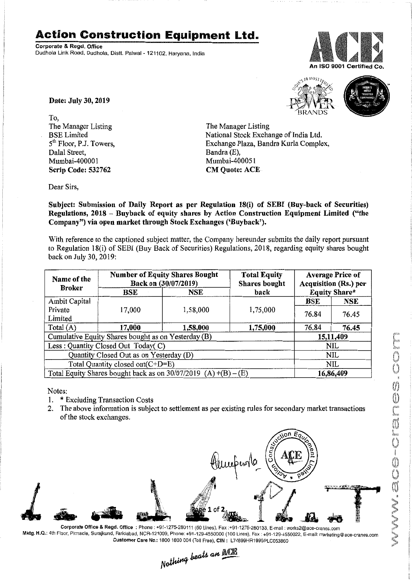## **Action Construction Equipment Ltd.**

Corporate & Regd. Office Dudhola Link Road, Dudhola, Distt. Palwal- 121102, Haryana, India





Date: July 30, 2019

To, The Manager Listing BSE Limited 5<sup>th</sup> Floor, P.J. Towers, Dalal Street, Mumbai-400001 Scrip Code: 532762

The Manager Listing National Stock Exchange of India Ltd. Exchange Plaza, Bandra Kurla Complex, Bandra (E), Mumbai-400051 **CM Quote: ACE** 

Dear Sirs,

Subject: Submission of Daily Report as per Regulation 18(i) of SEBI (Buy-back of Securities) Regulations, 2018 - Buyback of equity shares by Action Construction Equipment Limited ("the Company") via open market through Stock Exchanges ('Buyback').

With reference to the captioned subject matter, the Company hereunder submits the daily report pursuant to Regulation 18(i) of SEBI (Buy Back of Securities) Regulations, 2018, regarding equity shares bought back on July 30,2019:

| Name of the<br><b>Broker</b>                                      | <b>Number of Equity Shares Bought</b><br>Back on (30/07/2019) |          | <b>Total Equity</b><br><b>Shares</b> bought | <b>Average Price of</b><br><b>Acquisition (Rs.) per</b> |            |  |
|-------------------------------------------------------------------|---------------------------------------------------------------|----------|---------------------------------------------|---------------------------------------------------------|------------|--|
|                                                                   | BSE                                                           | NSE      | back                                        | <b>Equity Share*</b>                                    |            |  |
| Ambit Capital                                                     |                                                               |          |                                             | BSE                                                     | <b>NSE</b> |  |
| Private                                                           | 17,000                                                        | 1,58,000 | 1,75,000                                    | 76.84                                                   | 76.45      |  |
| Limited                                                           |                                                               |          |                                             |                                                         |            |  |
| Total (A)                                                         | 17,000                                                        | 1,58,000 | 1,75,000                                    | 76.84                                                   | 76.45      |  |
| Cumulative Equity Shares bought as on Yesterday (B)               |                                                               |          |                                             |                                                         | 15,11,409  |  |
| Less: Quantity Closed Out Today(C)                                |                                                               |          |                                             | <b>NIL</b>                                              |            |  |
| Quantity Closed Out as on Yesterday (D)                           |                                                               |          |                                             | <b>NIL</b>                                              |            |  |
| Total Quantity closed out(C+D=E)                                  |                                                               |          |                                             |                                                         | NIL        |  |
| Total Equity Shares bought back as on $30/07/2019$ (A) +(B) – (E) |                                                               |          |                                             | 16,86,409                                               |            |  |

Notes:

- 1. \* Excluding Transaction Costs
- 2. The above information is subject to settlement as per existing rules for secondary market transactions of the stock exchanges.



Corporate Office & Regd. Office: Phone : +91·1275·280111(50 Lines), Fax ;+91-1275·280133,E-mail: works2@ace-cranes.com Mktg. H.Q.: 4th Floor, Pinnacle, Surajkund, Faridabad, NCR-121009, Phone: +91-129-4550000 (100 Lines), Fax: +91-129-4550022, E-mail: marketing@ace-cranes.com

Customer Care No.: 1800 1800 004 (Toll Free), CIN: L74899HR1995PLC053860<br>Nothing beats an **Newli**